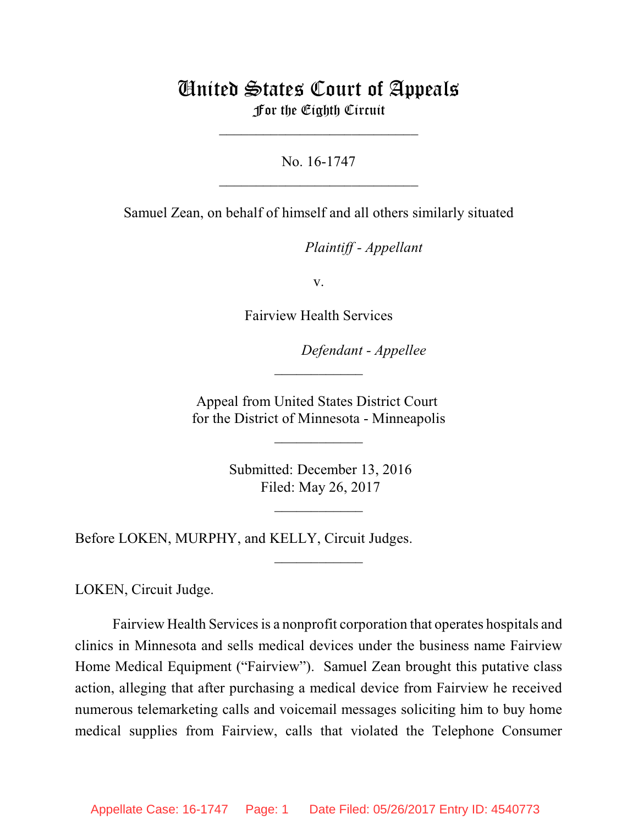# United States Court of Appeals For the Eighth Circuit

\_\_\_\_\_\_\_\_\_\_\_\_\_\_\_\_\_\_\_\_\_\_\_\_\_\_\_

No. 16-1747  $\mathcal{L}_\text{max}$  , which is a set of the set of the set of the set of the set of the set of the set of the set of the set of the set of the set of the set of the set of the set of the set of the set of the set of the set of

Samuel Zean, on behalf of himself and all others similarly situated

lllllllllllllllllllll *Plaintiff - Appellant*

v.

Fairview Health Services

Defendant - Appellee

Appeal from United States District Court for the District of Minnesota - Minneapolis

 $\overline{\phantom{a}}$  , where  $\overline{\phantom{a}}$ 

 $\frac{1}{2}$ 

 Submitted: December 13, 2016 Filed: May 26, 2017

 $\frac{1}{2}$ 

 $\overline{\phantom{a}}$  , where  $\overline{\phantom{a}}$ 

Before LOKEN, MURPHY, and KELLY, Circuit Judges.

LOKEN, Circuit Judge.

Fairview Health Services is a nonprofit corporation that operates hospitals and clinics in Minnesota and sells medical devices under the business name Fairview Home Medical Equipment ("Fairview"). Samuel Zean brought this putative class action, alleging that after purchasing a medical device from Fairview he received numerous telemarketing calls and voicemail messages soliciting him to buy home medical supplies from Fairview, calls that violated the Telephone Consumer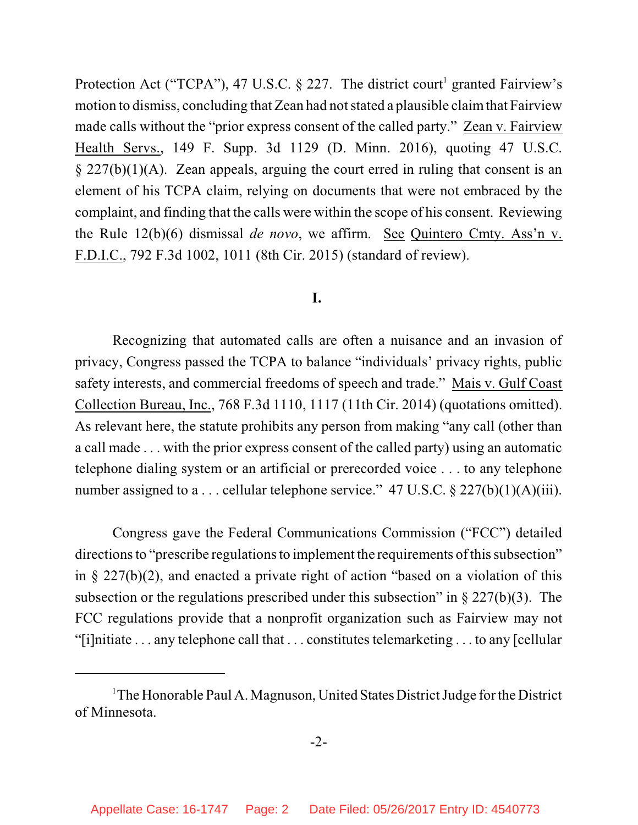Protection Act ("TCPA"), 47 U.S.C.  $\S$  227. The district court<sup>1</sup> granted Fairview's motion to dismiss, concluding that Zean had not stated a plausible claimthat Fairview made calls without the "prior express consent of the called party." Zean v. Fairview Health Servs., 149 F. Supp. 3d 1129 (D. Minn. 2016), quoting 47 U.S.C.  $\S 227(b)(1)(A)$ . Zean appeals, arguing the court erred in ruling that consent is an element of his TCPA claim, relying on documents that were not embraced by the complaint, and finding that the calls were within the scope of his consent. Reviewing the Rule 12(b)(6) dismissal *de novo*, we affirm. See Quintero Cmty. Ass'n v. F.D.I.C., 792 F.3d 1002, 1011 (8th Cir. 2015) (standard of review).

# **I.**

Recognizing that automated calls are often a nuisance and an invasion of privacy, Congress passed the TCPA to balance "individuals' privacy rights, public safety interests, and commercial freedoms of speech and trade." Mais v. Gulf Coast Collection Bureau, Inc., 768 F.3d 1110, 1117 (11th Cir. 2014) (quotations omitted). As relevant here, the statute prohibits any person from making "any call (other than a call made . . . with the prior express consent of the called party) using an automatic telephone dialing system or an artificial or prerecorded voice . . . to any telephone number assigned to a ... cellular telephone service." 47 U.S.C.  $\S 227(b)(1)(A)(iii)$ .

Congress gave the Federal Communications Commission ("FCC") detailed directions to "prescribe regulations to implement the requirements of this subsection" in § 227(b)(2), and enacted a private right of action "based on a violation of this subsection or the regulations prescribed under this subsection" in  $\S 227(b)(3)$ . The FCC regulations provide that a nonprofit organization such as Fairview may not "[i]nitiate . . . any telephone call that . . . constitutes telemarketing . . . to any [cellular

<sup>&</sup>lt;sup>1</sup>The Honorable Paul A. Magnuson, United States District Judge for the District of Minnesota.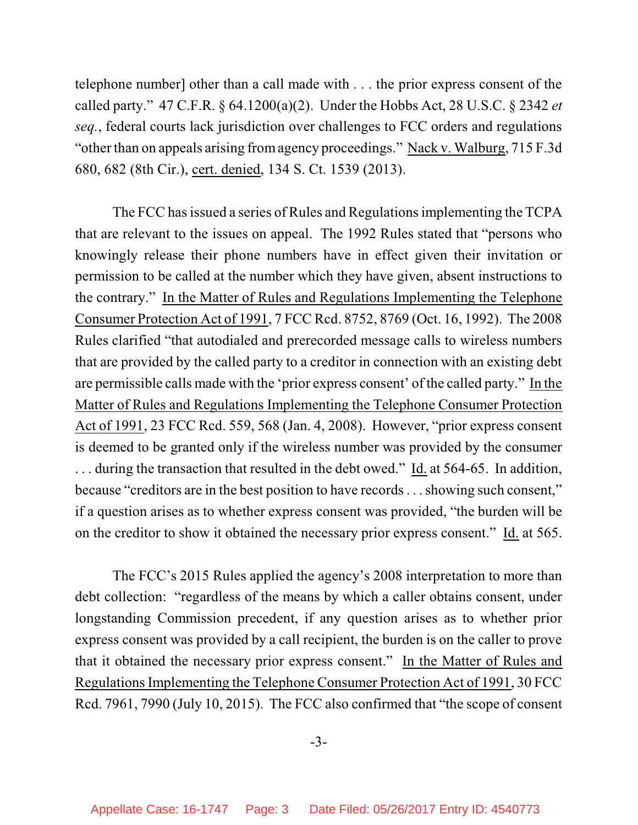telephone number] other than a call made with . . . the prior express consent of the called party." 47 C.F.R. § 64.1200(a)(2). Under the Hobbs Act, 28 U.S.C. § 2342 *et seq.*, federal courts lack jurisdiction over challenges to FCC orders and regulations "other than on appeals arising fromagency proceedings." Nack v. Walburg, 715 F.3d 680, 682 (8th Cir.), cert. denied, 134 S. Ct. 1539 (2013).

The FCC has issued a series of Rules and Regulationsimplementing the TCPA that are relevant to the issues on appeal. The 1992 Rules stated that "persons who knowingly release their phone numbers have in effect given their invitation or permission to be called at the number which they have given, absent instructions to the contrary." In the Matter of Rules and Regulations Implementing the Telephone Consumer Protection Act of 1991, 7 FCC Rcd. 8752, 8769 (Oct. 16, 1992). The 2008 Rules clarified "that autodialed and prerecorded message calls to wireless numbers that are provided by the called party to a creditor in connection with an existing debt are permissible calls made with the 'prior express consent' of the called party." In the Matter of Rules and Regulations Implementing the Telephone Consumer Protection Act of 1991, 23 FCC Rcd. 559, 568 (Jan. 4, 2008). However, "prior express consent is deemed to be granted only if the wireless number was provided by the consumer . . . during the transaction that resulted in the debt owed." Id. at 564-65. In addition, because "creditors are in the best position to have records . . . showing such consent," if a question arises as to whether express consent was provided, "the burden will be on the creditor to show it obtained the necessary prior express consent." Id. at 565.

The FCC's 2015 Rules applied the agency's 2008 interpretation to more than debt collection: "regardless of the means by which a caller obtains consent, under longstanding Commission precedent, if any question arises as to whether prior express consent was provided by a call recipient, the burden is on the caller to prove that it obtained the necessary prior express consent." In the Matter of Rules and RegulationsImplementing the Telephone Consumer Protection Act of 1991, 30 FCC Rcd. 7961, 7990 (July 10, 2015). The FCC also confirmed that "the scope of consent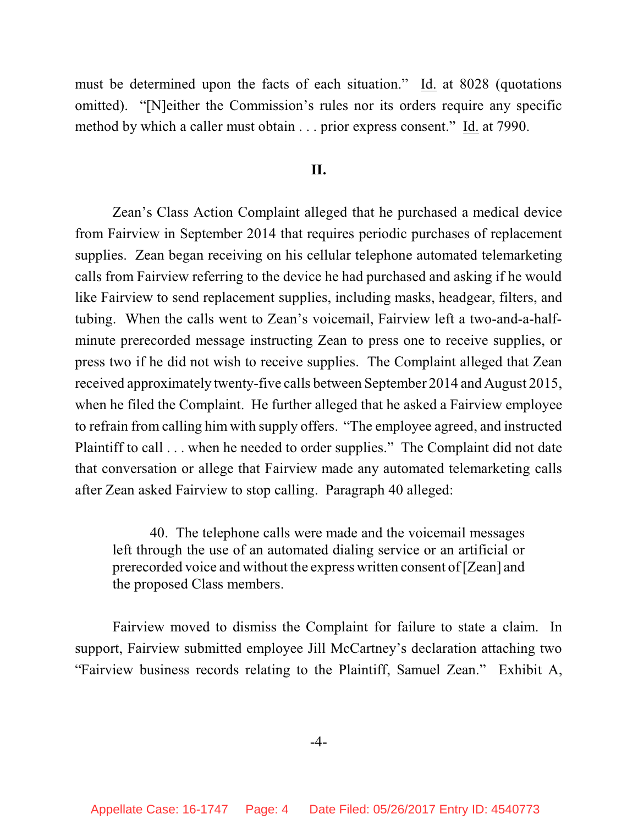must be determined upon the facts of each situation." Id. at 8028 (quotations omitted). "[N]either the Commission's rules nor its orders require any specific method by which a caller must obtain . . . prior express consent." Id. at 7990.

### **II.**

Zean's Class Action Complaint alleged that he purchased a medical device from Fairview in September 2014 that requires periodic purchases of replacement supplies. Zean began receiving on his cellular telephone automated telemarketing calls from Fairview referring to the device he had purchased and asking if he would like Fairview to send replacement supplies, including masks, headgear, filters, and tubing. When the calls went to Zean's voicemail, Fairview left a two-and-a-halfminute prerecorded message instructing Zean to press one to receive supplies, or press two if he did not wish to receive supplies. The Complaint alleged that Zean received approximately twenty-five calls between September 2014 and August 2015, when he filed the Complaint. He further alleged that he asked a Fairview employee to refrain from calling him with supply offers. "The employee agreed, and instructed Plaintiff to call . . . when he needed to order supplies." The Complaint did not date that conversation or allege that Fairview made any automated telemarketing calls after Zean asked Fairview to stop calling. Paragraph 40 alleged:

40. The telephone calls were made and the voicemail messages left through the use of an automated dialing service or an artificial or prerecorded voice and without the express written consent of[Zean] and the proposed Class members.

Fairview moved to dismiss the Complaint for failure to state a claim. In support, Fairview submitted employee Jill McCartney's declaration attaching two "Fairview business records relating to the Plaintiff, Samuel Zean." Exhibit A,

#### -4-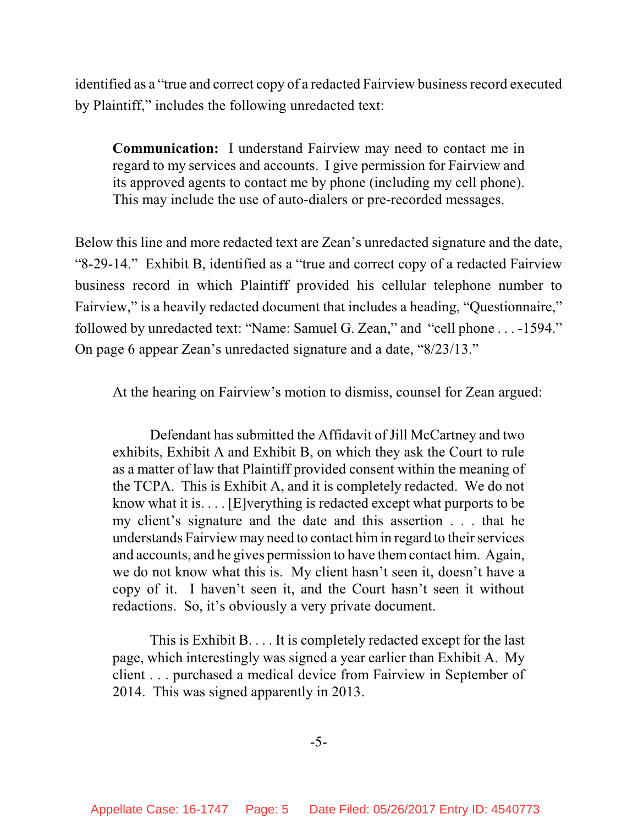identified as a "true and correct copy of a redacted Fairview business record executed by Plaintiff," includes the following unredacted text:

**Communication:** I understand Fairview may need to contact me in regard to my services and accounts. I give permission for Fairview and its approved agents to contact me by phone (including my cell phone). This may include the use of auto-dialers or pre-recorded messages.

Below this line and more redacted text are Zean's unredacted signature and the date, "8-29-14." Exhibit B, identified as a "true and correct copy of a redacted Fairview business record in which Plaintiff provided his cellular telephone number to Fairview," is a heavily redacted document that includes a heading, "Questionnaire," followed by unredacted text: "Name: Samuel G. Zean," and "cell phone . . . -1594." On page 6 appear Zean's unredacted signature and a date, "8/23/13."

At the hearing on Fairview's motion to dismiss, counsel for Zean argued:

Defendant has submitted the Affidavit of Jill McCartney and two exhibits, Exhibit A and Exhibit B, on which they ask the Court to rule as a matter of law that Plaintiff provided consent within the meaning of the TCPA. This is Exhibit A, and it is completely redacted. We do not know what it is. . . . [E]verything is redacted except what purports to be my client's signature and the date and this assertion . . . that he understands Fairview may need to contact himin regard to their services and accounts, and he gives permission to have themcontact him. Again, we do not know what this is. My client hasn't seen it, doesn't have a copy of it. I haven't seen it, and the Court hasn't seen it without redactions. So, it's obviously a very private document.

This is Exhibit B. . . . It is completely redacted except for the last page, which interestingly was signed a year earlier than Exhibit A. My client . . . purchased a medical device from Fairview in September of 2014. This was signed apparently in 2013.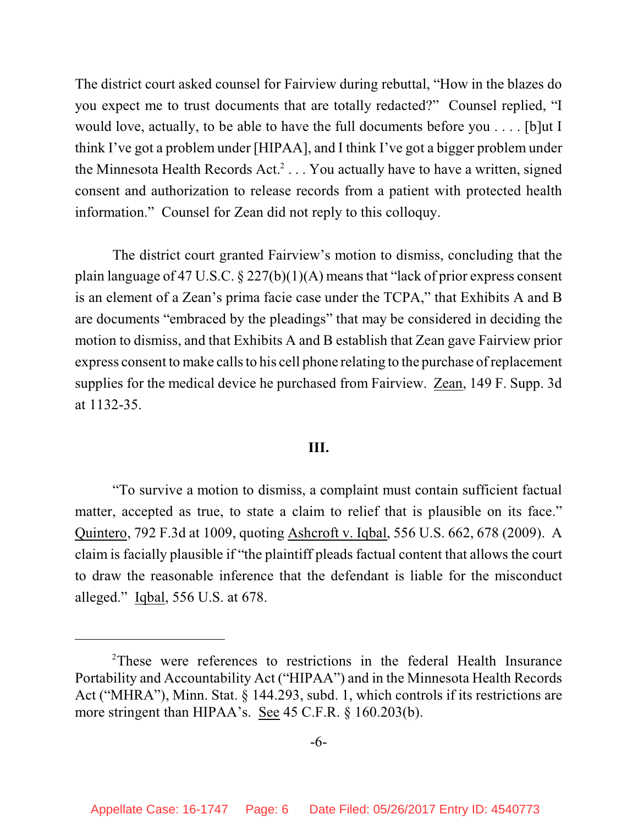The district court asked counsel for Fairview during rebuttal, "How in the blazes do you expect me to trust documents that are totally redacted?" Counsel replied, "I would love, actually, to be able to have the full documents before you . . . . [b]ut I think I've got a problem under [HIPAA], and I think I've got a bigger problem under the Minnesota Health Records Act.<sup>2</sup> . . . You actually have to have a written, signed consent and authorization to release records from a patient with protected health information." Counsel for Zean did not reply to this colloquy.

The district court granted Fairview's motion to dismiss, concluding that the plain language of 47 U.S.C. § 227(b)(1)(A) means that "lack of prior express consent is an element of a Zean's prima facie case under the TCPA," that Exhibits A and B are documents "embraced by the pleadings" that may be considered in deciding the motion to dismiss, and that Exhibits A and B establish that Zean gave Fairview prior express consent to make calls to his cell phone relating to the purchase of replacement supplies for the medical device he purchased from Fairview. Zean, 149 F. Supp. 3d at 1132-35.

# **III.**

"To survive a motion to dismiss, a complaint must contain sufficient factual matter, accepted as true, to state a claim to relief that is plausible on its face." Quintero, 792 F.3d at 1009, quoting Ashcroft v. Iqbal, 556 U.S. 662, 678 (2009). A claim is facially plausible if "the plaintiff pleads factual content that allows the court to draw the reasonable inference that the defendant is liable for the misconduct alleged." Iqbal, 556 U.S. at 678.

<sup>&</sup>lt;sup>2</sup>These were references to restrictions in the federal Health Insurance Portability and Accountability Act ("HIPAA") and in the Minnesota Health Records Act ("MHRA"), Minn. Stat. § 144.293, subd. 1, which controls if its restrictions are more stringent than HIPAA's. See 45 C.F.R. § 160.203(b).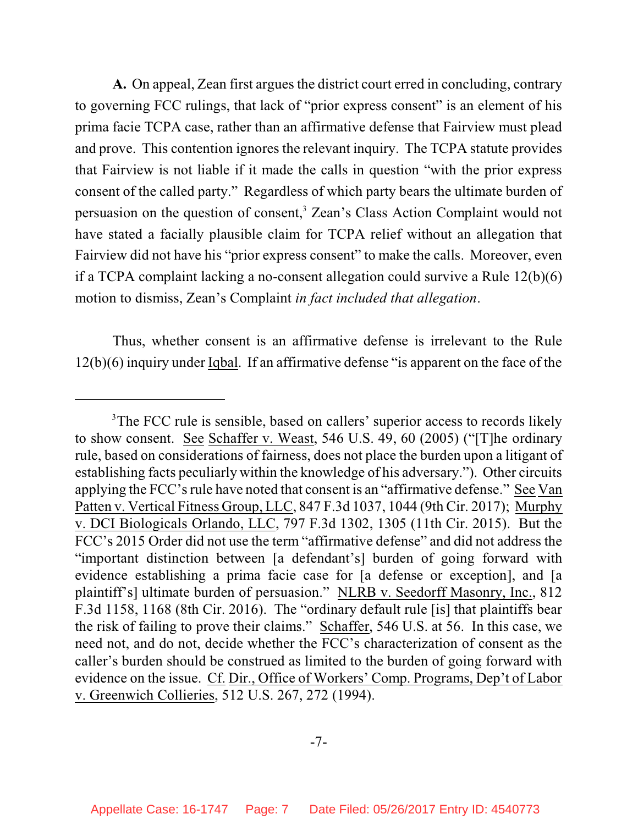**A.** On appeal, Zean first argues the district court erred in concluding, contrary to governing FCC rulings, that lack of "prior express consent" is an element of his prima facie TCPA case, rather than an affirmative defense that Fairview must plead and prove. This contention ignores the relevant inquiry. The TCPA statute provides that Fairview is not liable if it made the calls in question "with the prior express consent of the called party." Regardless of which party bears the ultimate burden of persuasion on the question of consent,<sup>3</sup> Zean's Class Action Complaint would not have stated a facially plausible claim for TCPA relief without an allegation that Fairview did not have his "prior express consent" to make the calls. Moreover, even if a TCPA complaint lacking a no-consent allegation could survive a Rule 12(b)(6) motion to dismiss, Zean's Complaint *in fact included that allegation*.

Thus, whether consent is an affirmative defense is irrelevant to the Rule 12(b)(6) inquiry under Iqbal. If an affirmative defense "is apparent on the face of the

<sup>&</sup>lt;sup>3</sup>The FCC rule is sensible, based on callers' superior access to records likely to show consent. See Schaffer v. Weast, 546 U.S. 49, 60 (2005) ("[T]he ordinary rule, based on considerations of fairness, does not place the burden upon a litigant of establishing facts peculiarly within the knowledge of his adversary."). Other circuits applying the FCC's rule have noted that consent is an "affirmative defense." See Van Patten v. Vertical Fitness Group, LLC, 847 F.3d 1037, 1044 (9th Cir. 2017); Murphy v. DCI Biologicals Orlando, LLC, 797 F.3d 1302, 1305 (11th Cir. 2015). But the FCC's 2015 Order did not use the term "affirmative defense" and did not address the "important distinction between [a defendant's] burden of going forward with evidence establishing a prima facie case for [a defense or exception], and [a plaintiff's] ultimate burden of persuasion." NLRB v. Seedorff Masonry, Inc., 812 F.3d 1158, 1168 (8th Cir. 2016). The "ordinary default rule [is] that plaintiffs bear the risk of failing to prove their claims." Schaffer, 546 U.S. at 56. In this case, we need not, and do not, decide whether the FCC's characterization of consent as the caller's burden should be construed as limited to the burden of going forward with evidence on the issue. Cf. Dir., Office of Workers' Comp. Programs, Dep't of Labor v. Greenwich Collieries, 512 U.S. 267, 272 (1994).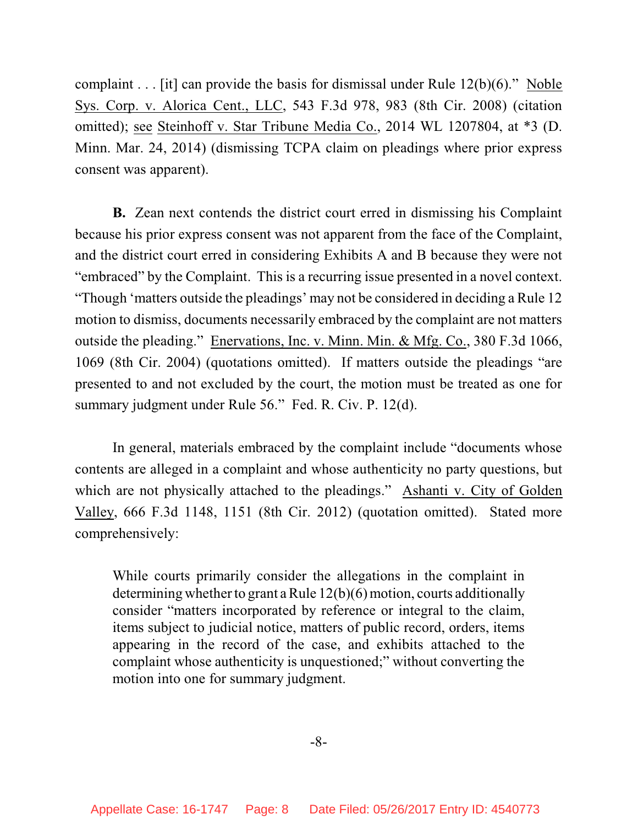complaint . . . [it] can provide the basis for dismissal under Rule 12(b)(6)." Noble Sys. Corp. v. Alorica Cent., LLC, 543 F.3d 978, 983 (8th Cir. 2008) (citation omitted); see Steinhoff v. Star Tribune Media Co., 2014 WL 1207804, at \*3 (D. Minn. Mar. 24, 2014) (dismissing TCPA claim on pleadings where prior express consent was apparent).

**B.** Zean next contends the district court erred in dismissing his Complaint because his prior express consent was not apparent from the face of the Complaint, and the district court erred in considering Exhibits A and B because they were not "embraced" by the Complaint. This is a recurring issue presented in a novel context. "Though 'matters outside the pleadings' may not be considered in deciding a Rule 12 motion to dismiss, documents necessarily embraced by the complaint are not matters outside the pleading." Enervations, Inc. v. Minn. Min. & Mfg. Co., 380 F.3d 1066, 1069 (8th Cir. 2004) (quotations omitted). If matters outside the pleadings "are presented to and not excluded by the court, the motion must be treated as one for summary judgment under Rule 56." Fed. R. Civ. P. 12(d).

In general, materials embraced by the complaint include "documents whose contents are alleged in a complaint and whose authenticity no party questions, but which are not physically attached to the pleadings." Ashanti v. City of Golden Valley, 666 F.3d 1148, 1151 (8th Cir. 2012) (quotation omitted). Stated more comprehensively:

While courts primarily consider the allegations in the complaint in determining whether to grant a Rule 12(b)(6) motion, courts additionally consider "matters incorporated by reference or integral to the claim, items subject to judicial notice, matters of public record, orders, items appearing in the record of the case, and exhibits attached to the complaint whose authenticity is unquestioned;" without converting the motion into one for summary judgment.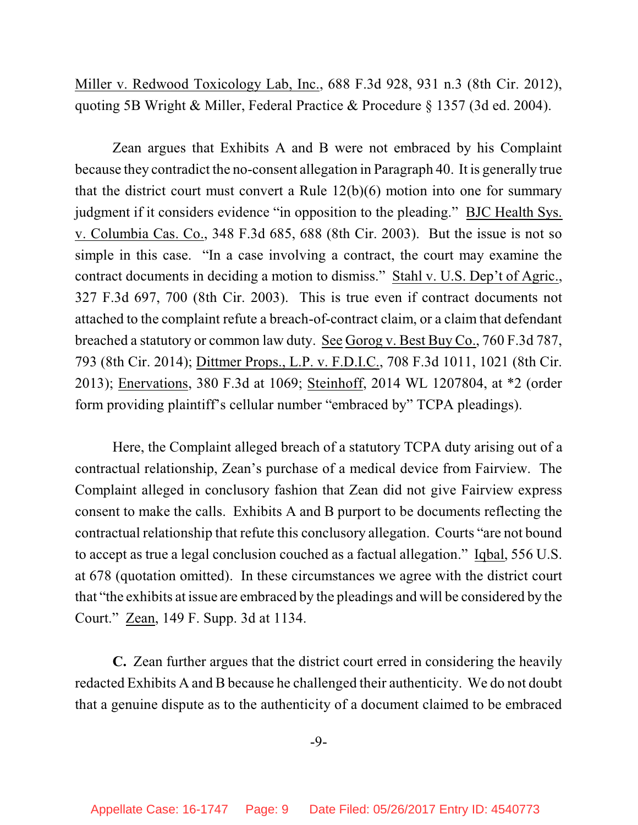Miller v. Redwood Toxicology Lab, Inc., 688 F.3d 928, 931 n.3 (8th Cir. 2012), quoting 5B Wright & Miller, Federal Practice & Procedure § 1357 (3d ed. 2004).

Zean argues that Exhibits A and B were not embraced by his Complaint because they contradict the no-consent allegation in Paragraph 40. It is generally true that the district court must convert a Rule 12(b)(6) motion into one for summary judgment if it considers evidence "in opposition to the pleading." BJC Health Sys. v. Columbia Cas. Co., 348 F.3d 685, 688 (8th Cir. 2003). But the issue is not so simple in this case. "In a case involving a contract, the court may examine the contract documents in deciding a motion to dismiss." Stahl v. U.S. Dep't of Agric., 327 F.3d 697, 700 (8th Cir. 2003). This is true even if contract documents not attached to the complaint refute a breach-of-contract claim, or a claim that defendant breached a statutory or common law duty. See Gorog v. Best Buy Co., 760 F.3d 787, 793 (8th Cir. 2014); Dittmer Props., L.P. v. F.D.I.C., 708 F.3d 1011, 1021 (8th Cir. 2013); Enervations, 380 F.3d at 1069; Steinhoff, 2014 WL 1207804, at \*2 (order form providing plaintiff's cellular number "embraced by" TCPA pleadings).

Here, the Complaint alleged breach of a statutory TCPA duty arising out of a contractual relationship, Zean's purchase of a medical device from Fairview. The Complaint alleged in conclusory fashion that Zean did not give Fairview express consent to make the calls. Exhibits A and B purport to be documents reflecting the contractual relationship that refute this conclusory allegation. Courts "are not bound to accept as true a legal conclusion couched as a factual allegation." Iqbal, 556 U.S. at 678 (quotation omitted). In these circumstances we agree with the district court that "the exhibits at issue are embraced by the pleadings and will be considered by the Court." Zean, 149 F. Supp. 3d at 1134.

**C.** Zean further argues that the district court erred in considering the heavily redacted Exhibits A and B because he challenged their authenticity. We do not doubt that a genuine dispute as to the authenticity of a document claimed to be embraced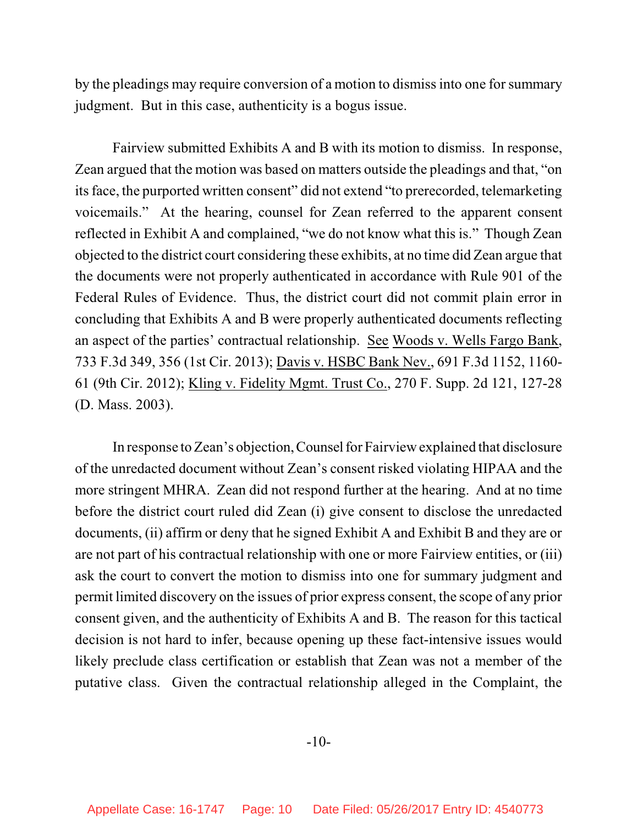by the pleadings may require conversion of a motion to dismiss into one for summary judgment. But in this case, authenticity is a bogus issue.

Fairview submitted Exhibits A and B with its motion to dismiss. In response, Zean argued that the motion was based on matters outside the pleadings and that, "on its face, the purported written consent" did not extend "to prerecorded, telemarketing voicemails." At the hearing, counsel for Zean referred to the apparent consent reflected in Exhibit A and complained, "we do not know what this is." Though Zean objected to the district court considering these exhibits, at no time did Zean argue that the documents were not properly authenticated in accordance with Rule 901 of the Federal Rules of Evidence. Thus, the district court did not commit plain error in concluding that Exhibits A and B were properly authenticated documents reflecting an aspect of the parties' contractual relationship. See Woods v. Wells Fargo Bank, 733 F.3d 349, 356 (1st Cir. 2013); Davis v. HSBC Bank Nev., 691 F.3d 1152, 1160- 61 (9th Cir. 2012); Kling v. Fidelity Mgmt. Trust Co., 270 F. Supp. 2d 121, 127-28 (D. Mass. 2003).

In response to Zean's objection,Counsel for Fairview explained that disclosure of the unredacted document without Zean's consent risked violating HIPAA and the more stringent MHRA. Zean did not respond further at the hearing. And at no time before the district court ruled did Zean (i) give consent to disclose the unredacted documents, (ii) affirm or deny that he signed Exhibit A and Exhibit B and they are or are not part of his contractual relationship with one or more Fairview entities, or (iii) ask the court to convert the motion to dismiss into one for summary judgment and permit limited discovery on the issues of prior express consent, the scope of any prior consent given, and the authenticity of Exhibits A and B. The reason for this tactical decision is not hard to infer, because opening up these fact-intensive issues would likely preclude class certification or establish that Zean was not a member of the putative class. Given the contractual relationship alleged in the Complaint, the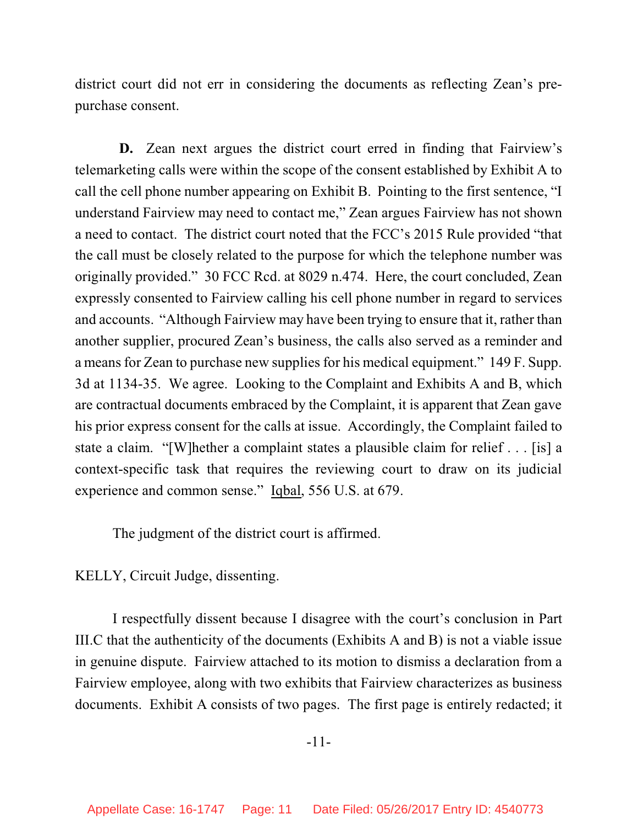district court did not err in considering the documents as reflecting Zean's prepurchase consent.

**D.** Zean next argues the district court erred in finding that Fairview's telemarketing calls were within the scope of the consent established by Exhibit A to call the cell phone number appearing on Exhibit B. Pointing to the first sentence, "I understand Fairview may need to contact me," Zean argues Fairview has not shown a need to contact. The district court noted that the FCC's 2015 Rule provided "that the call must be closely related to the purpose for which the telephone number was originally provided." 30 FCC Rcd. at 8029 n.474. Here, the court concluded, Zean expressly consented to Fairview calling his cell phone number in regard to services and accounts. "Although Fairview may have been trying to ensure that it, rather than another supplier, procured Zean's business, the calls also served as a reminder and a means for Zean to purchase new supplies for his medical equipment." 149 F. Supp. 3d at 1134-35. We agree. Looking to the Complaint and Exhibits A and B, which are contractual documents embraced by the Complaint, it is apparent that Zean gave his prior express consent for the calls at issue. Accordingly, the Complaint failed to state a claim. "[W]hether a complaint states a plausible claim for relief . . . [is] a context-specific task that requires the reviewing court to draw on its judicial experience and common sense." Iqbal, 556 U.S. at 679.

The judgment of the district court is affirmed.

KELLY, Circuit Judge, dissenting.

I respectfully dissent because I disagree with the court's conclusion in Part III.C that the authenticity of the documents (Exhibits A and B) is not a viable issue in genuine dispute. Fairview attached to its motion to dismiss a declaration from a Fairview employee, along with two exhibits that Fairview characterizes as business documents. Exhibit A consists of two pages. The first page is entirely redacted; it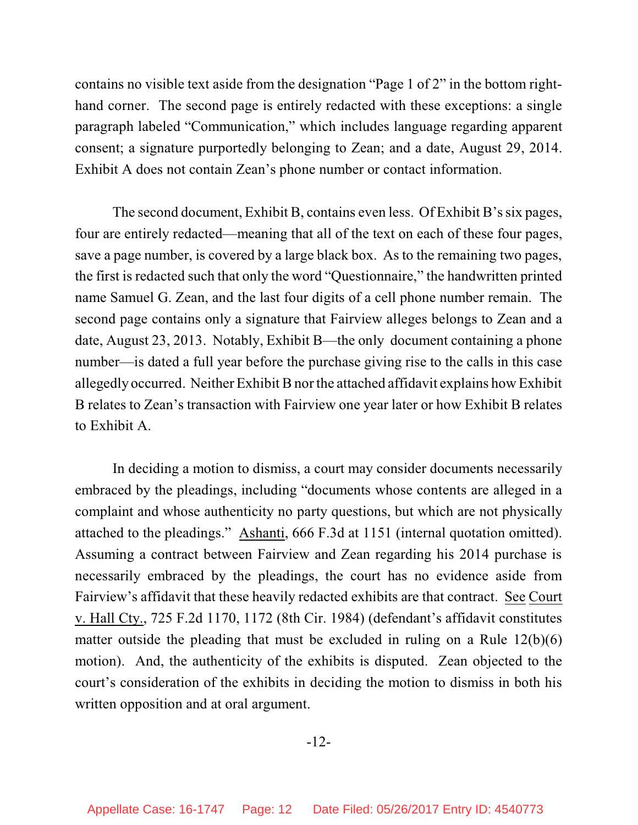contains no visible text aside from the designation "Page 1 of 2" in the bottom righthand corner. The second page is entirely redacted with these exceptions: a single paragraph labeled "Communication," which includes language regarding apparent consent; a signature purportedly belonging to Zean; and a date, August 29, 2014. Exhibit A does not contain Zean's phone number or contact information.

The second document, Exhibit B, contains even less. Of Exhibit B's six pages, four are entirely redacted—meaning that all of the text on each of these four pages, save a page number, is covered by a large black box. As to the remaining two pages, the first is redacted such that only the word "Questionnaire," the handwritten printed name Samuel G. Zean, and the last four digits of a cell phone number remain. The second page contains only a signature that Fairview alleges belongs to Zean and a date, August 23, 2013. Notably, Exhibit B—the only document containing a phone number—is dated a full year before the purchase giving rise to the calls in this case allegedly occurred. Neither Exhibit B nor the attached affidavit explains how Exhibit B relates to Zean's transaction with Fairview one year later or how Exhibit B relates to Exhibit A.

In deciding a motion to dismiss, a court may consider documents necessarily embraced by the pleadings, including "documents whose contents are alleged in a complaint and whose authenticity no party questions, but which are not physically attached to the pleadings." Ashanti, 666 F.3d at 1151 (internal quotation omitted). Assuming a contract between Fairview and Zean regarding his 2014 purchase is necessarily embraced by the pleadings, the court has no evidence aside from Fairview's affidavit that these heavily redacted exhibits are that contract. See Court v. Hall Cty., 725 F.2d 1170, 1172 (8th Cir. 1984) (defendant's affidavit constitutes matter outside the pleading that must be excluded in ruling on a Rule  $12(b)(6)$ motion). And, the authenticity of the exhibits is disputed. Zean objected to the court's consideration of the exhibits in deciding the motion to dismiss in both his written opposition and at oral argument.